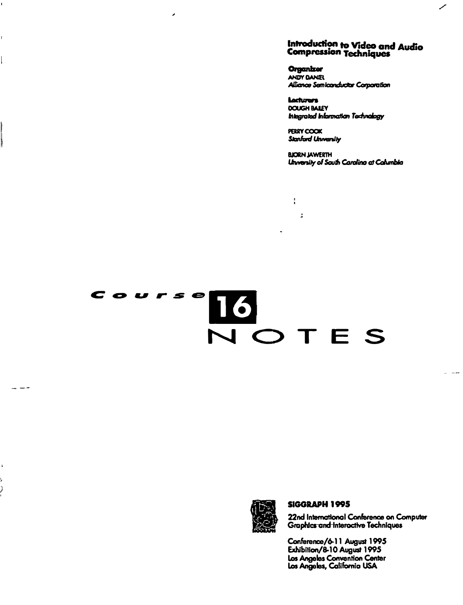## Introduction to Video and Audio<br>Compression Techniques

╱

**Organizer**<br>ANDY DANER Aliance Semiconductor Corporation

Lacturers **DOUGH BALEY Integrated Information Technology** 

PERRY COOK Stanford University

 $\frac{1}{4}$ 

 $\mathbf{r}$ 

**BJORN JAWERTH** Unversity of South Cardina at Calumbia

# Course MOTES

ŕ

 $\overline{\phantom{a}}$ 

 $\overline{\phantom{a}}$   $\overline{\phantom{a}}$ 

j,

 $\overline{\phantom{a}}$ 



#### SIGGRAPH 1995

22nd International Conference on Computer Graphics and Interactive Techniques

Conference/6-11 August 1995 Exhibition/8-10 August 1995 Los Angeles Convention Center Los Angeles, California USA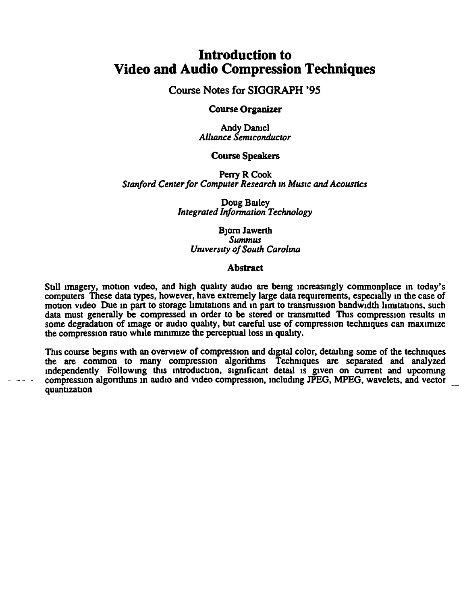## **Introduction to Video and Audio Compression Techniques**

#### **Course Notes for SIGGRAPH '95**

#### **Course Organizer**

**Andy Daniel** Alliance Semiconductor

#### **Course Speakers**

Perry R Cook Stanford Center for Computer Research in Music and Acoustics

> Doug Bailey **Integrated Information Technology**

**B**jorn Jawerth **Summus University of South Carolina** 

#### **Abstract**

Sull imagery, motion video, and high quality audio are being increasingly commonplace in today's computers These data types, however, have extremely large data requirements, especially in the case of motion video Due in part to storage limitations and in part to transmission bandwidth limitations, such data must generally be compressed in order to be stored or transmitted This compression results in some degradation of image or audio quality, but careful use of compression techniques can maximize the compression ratio while minimize the perceptual loss in quality.

This course begins with an overview of compression and digital color, detailing some of the techniques the are common to many compression algorithms Techniques are separated and analyzed independently Following this introduction, significant detail is given on current and upcoming compression algorithms in audio and video compression, including JPEG, MPEG, wavelets, and vector quantization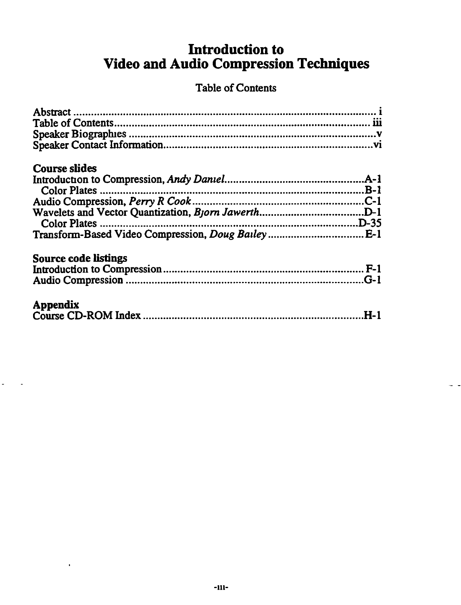## Introduction to Video and Audio Compression Techniques

## Table of Contents

| <b>Course slides</b>        |            |
|-----------------------------|------------|
|                             | .A-1       |
|                             | <b>B-1</b> |
|                             |            |
|                             |            |
| Color Plates                |            |
|                             |            |
| <b>Source code listings</b> |            |
|                             |            |
|                             | .G-1       |
|                             |            |
| Appendix                    | .H-1       |
|                             |            |

 $\omega_{\rm c}$ 

 $\bullet$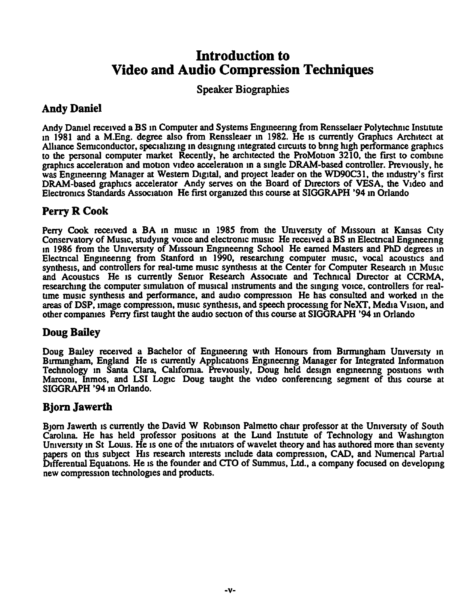## **Introduction to Video and Audio Compression Techniques**

Speaker Biographies

#### **Andy Daniel**

Andy Daniel received a BS in Computer and Systems Engineering from Rensselaer Polytechnic Institute m 1981 and a M.Eng. degree also from Renssleaer m 1982. He IS currently Graphics Architect at Alhance Semiconductor, specializing in designing integrated circuits to bring high performance graphics to the personal computer market Recently, he architected the ProMotion  $32\overline{10}$ , the first to combine graphics acceleration and motion video acceleration in a single DRAM-based controller. Previously, he was Engineering Manager at Western Digital, and project leader on the WD90C31, the industry's first DRAM-based graphics accelerator Andy serves on the Board of Directors of VESA, the Video and Electronics Standards Association He first organized this course at SIGGRAPH '94 in Orlando

### **PerryRCook**

Perry Cook received a BA in music in 1985 from the University of Missouri at Kansas City Conservatory of Music, studying voice and electronic music He received a BS in Electrical Engineering m 1986 from the Umvers1ty of Mlssoun Engmeenng School He earned Masters and PhD degrees m Electrical Engineering from Stanford in 1990, researching computer music, vocal acoustics and synthesis, and controllers for real-time music synthesis at the Center for Computer Research in Music and Acoustics He IS currently Seruor Research Associate and Techmcal Director at CCRMA, researching the computer simulation of musical instruments and the singing voice, controllers for realtime music synthesis and performance, and audio compression He has consulted and worked in the areas of DSP, image compression, music synthesis, and speech processing for NeXT, Media Vision, and other companies Perry first taught the audio section of this course at SIGGRAPH '94 in Orlando

#### **Doug Bailey**

Doug Bailey received a Bachelor of Engineering with Honours from Birmingham University in Birmingham, England He is currently Applications Engineering Manager for Integrated Information Technology in Santa Clara, California. Previously, Doug held design engineering positions with Marcom, Inmos, and LSI Logic Doug taught the video conferencing segment of this course at SIGGRAPH '94 m Orlando.

#### **Bjorn Jawerth**

B<sub>10</sub> Jawerth is currently the David W Robinson Palmetto chair professor at the University of South Carolma. He has held professor positions at the Lund Institute of Technology and Washington University in St Louis. He is one of the initiators of wavelet theory and has authored more than seventy papers on this subject His research interests include data compression, CAD, and Numerical Partial  $\hat{D}$ ifferential Equations. He is the founder and CTO of Summus, Ltd., a company focused on developing new compression technologies and products.